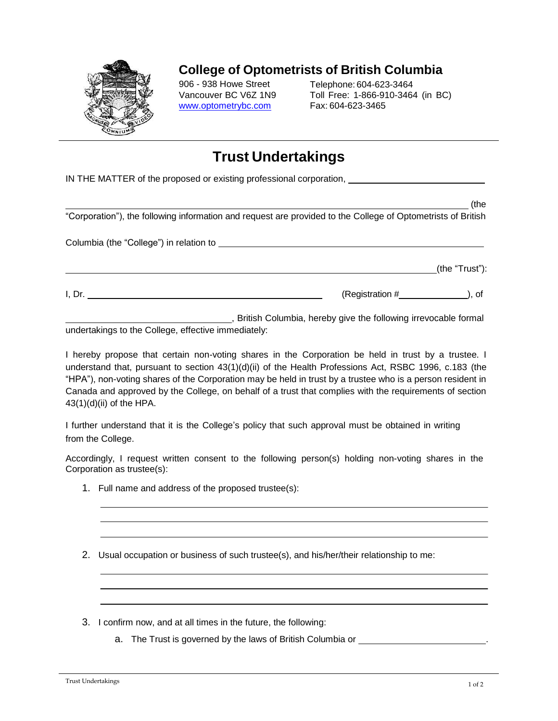

## **College of Optometrists of British Columbia**

906 - 938 Howe Street Vancouver BC V6Z 1N[9](http://www.optometrybc.com/) [www.optometrybc.com](http://www.optometrybc.com/)

Telephone: 604-623-3464 Toll Free: 1-866-910-3464 (in BC) Fax: 604-623-3465

## **Trust Undertakings**

IN THE MATTER of the proposed or existing professional corporation,

|                                                                                                                                                                                                                                |                      | (the           |
|--------------------------------------------------------------------------------------------------------------------------------------------------------------------------------------------------------------------------------|----------------------|----------------|
| "Corporation"), the following information and request are provided to the College of Optometrists of British                                                                                                                   |                      |                |
| Columbia (the "College") in relation to example a state of the state of the collection of the collection of the collection of the collection of the collection of the collection of the collection of the collection of the co |                      |                |
|                                                                                                                                                                                                                                |                      | (the "Trust"): |
| I, Dr.                                                                                                                                                                                                                         | $(Registration # \_$ |                |

 , British Columbia, hereby give the following irrevocable formal undertakings to the College, effective immediately:

I hereby propose that certain non-voting shares in the Corporation be held in trust by a trustee. I understand that, pursuant to section 43(1)(d)(ii) of the Health Professions Act, RSBC 1996, c.183 (the "HPA"), non-voting shares of the Corporation may be held in trust by a trustee who is a person resident in Canada and approved by the College, on behalf of a trust that complies with the requirements of section  $43(1)(d)(ii)$  of the HPA.

I further understand that it is the College's policy that such approval must be obtained in writing from the College.

Accordingly, I request written consent to the following person(s) holding non-voting shares in the Corporation as trustee(s):

- 1. Full name and address of the proposed trustee(s):
- 2. Usual occupation or business of such trustee(s), and his/her/their relationship to me:
- 3. I confirm now, and at all times in the future, the following:
	- a. The Trust is governed by the laws of British Columbia or .